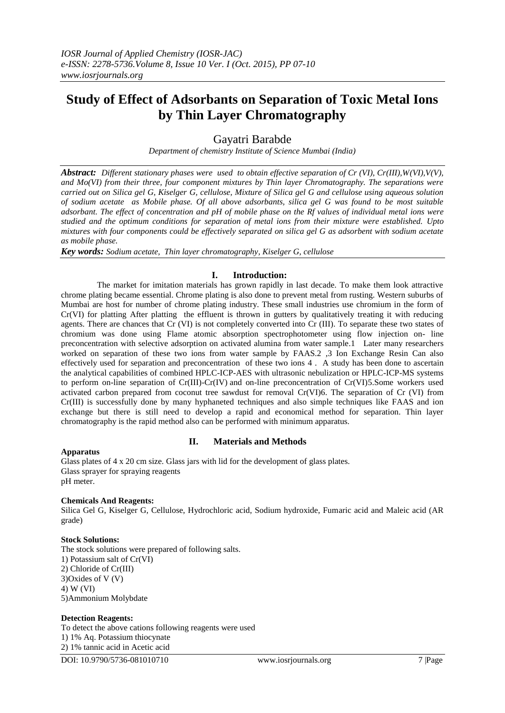# **Study of Effect of Adsorbants on Separation of Toxic Metal Ions by Thin Layer Chromatography**

# Gayatri Barabde

*Department of chemistry Institute of Science Mumbai (India)*

*Abstract: Different stationary phases were used to obtain effective separation of Cr (VI), Cr(III),W(VI),V(V), and Mo(VI) from their three, four component mixtures by Thin layer Chromatography. The separations were carried out on Silica gel G, Kiselger G, cellulose, Mixture of Silica gel G and cellulose using aqueous solution of sodium acetate as Mobile phase. Of all above adsorbants, silica gel G was found to be most suitable adsorbant. The effect of concentration and pH of mobile phase on the Rf values of individual metal ions were studied and the optimum conditions for separation of metal ions from their mixture were established. Upto mixtures with four components could be effectively separated on silica gel G as adsorbent with sodium acetate as mobile phase.*

*Key words: Sodium acetate, Thin layer chromatography, Kiselger G, cellulose*

# **I. Introduction:**

 The market for imitation materials has grown rapidly in last decade. To make them look attractive chrome plating became essential. Chrome plating is also done to prevent metal from rusting. Western suburbs of Mumbai are host for number of chrome plating industry. These small industries use chromium in the form of Cr(VI) for platting After platting the effluent is thrown in gutters by qualitatively treating it with reducing agents. There are chances that Cr (VI) is not completely converted into Cr (III). To separate these two states of chromium was done using Flame atomic absorption spectrophotometer using flow injection on- line preconcentration with selective adsorption on activated alumina from water sample.1 Later many researchers worked on separation of these two ions from water sample by FAAS.2 ,3 Ion Exchange Resin Can also effectively used for separation and preconcentration of these two ions 4 . A study has been done to ascertain the analytical capabilities of combined HPLC-ICP-AES with ultrasonic nebulization or HPLC-ICP-MS systems to perform on-line separation of Cr(III)-Cr(IV) and on-line preconcentration of Cr(VI)5.Some workers used activated carbon prepared from coconut tree sawdust for removal Cr(VI)6. The separation of Cr (VI) from Cr(III) is successfully done by many hyphaneted techniques and also simple techniques like FAAS and ion exchange but there is still need to develop a rapid and economical method for separation. Thin layer chromatography is the rapid method also can be performed with minimum apparatus.

# **Apparatus**

# **II. Materials and Methods**

Glass plates of 4 x 20 cm size. Glass jars with lid for the development of glass plates. Glass sprayer for spraying reagents pH meter.

#### **Chemicals And Reagents:**

Silica Gel G, Kiselger G, Cellulose, Hydrochloric acid, Sodium hydroxide, Fumaric acid and Maleic acid (AR grade)

#### **Stock Solutions:**

The stock solutions were prepared of following salts. 1) Potassium salt of Cr(VI) 2) Chloride of Cr(III) 3)Oxides of V (V) 4) W (VI) 5)Ammonium Molybdate

#### **Detection Reagents:**

To detect the above cations following reagents were used 1) 1% Aq. Potassium thiocynate 2) 1% tannic acid in Acetic acid

DOI: 10.9790/5736-081010710 www.iosrjournals.org 7 |Page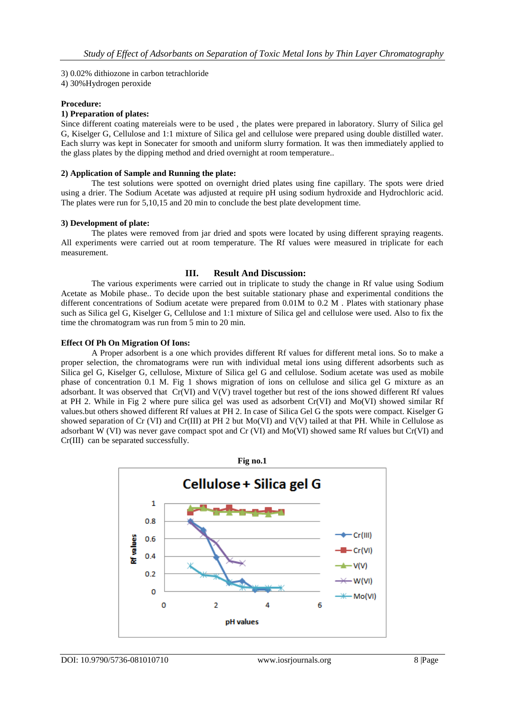#### 3) 0.02% dithiozone in carbon tetrachloride

4) 30%Hydrogen peroxide

### **Procedure:**

# **1) Preparation of plates:**

Since different coating matereials were to be used , the plates were prepared in laboratory. Slurry of Silica gel G, Kiselger G, Cellulose and 1:1 mixture of Silica gel and cellulose were prepared using double distilled water. Each slurry was kept in Sonecater for smooth and uniform slurry formation. It was then immediately applied to the glass plates by the dipping method and dried overnight at room temperature..

# **2) Application of Sample and Running the plate:**

The test solutions were spotted on overnight dried plates using fine capillary. The spots were dried using a drier. The Sodium Acetate was adjusted at require pH using sodium hydroxide and Hydrochloric acid. The plates were run for 5,10,15 and 20 min to conclude the best plate development time.

### **3) Development of plate:**

The plates were removed from jar dried and spots were located by using different spraying reagents. All experiments were carried out at room temperature. The Rf values were measured in triplicate for each measurement.

# **III. Result And Discussion:**

The various experiments were carried out in triplicate to study the change in Rf value using Sodium Acetate as Mobile phase.. To decide upon the best suitable stationary phase and experimental conditions the different concentrations of Sodium acetate were prepared from 0.01M to 0.2 M. Plates with stationary phase such as Silica gel G, Kiselger G, Cellulose and 1:1 mixture of Silica gel and cellulose were used. Also to fix the time the chromatogram was run from 5 min to 20 min.

### **Effect Of Ph On Migration Of Ions:**

A Proper adsorbent is a one which provides different Rf values for different metal ions. So to make a proper selection, the chromatograms were run with individual metal ions using different adsorbents such as Silica gel G, Kiselger G, cellulose, Mixture of Silica gel G and cellulose. Sodium acetate was used as mobile phase of concentration 0.1 M. Fig 1 shows migration of ions on cellulose and silica gel G mixture as an adsorbant. It was observed that Cr(VI) and V(V) travel together but rest of the ions showed different Rf values at PH 2. While in Fig 2 where pure silica gel was used as adsorbent Cr(VI) and Mo(VI) showed similar Rf values.but others showed different Rf values at PH 2. In case of Silica Gel G the spots were compact. Kiselger G showed separation of Cr (VI) and Cr(III) at PH 2 but Mo(VI) and V(V) tailed at that PH. While in Cellulose as adsorbant W (VI) was never gave compact spot and Cr (VI) and Mo(VI) showed same Rf values but Cr(VI) and Cr(III) can be separated successfully.

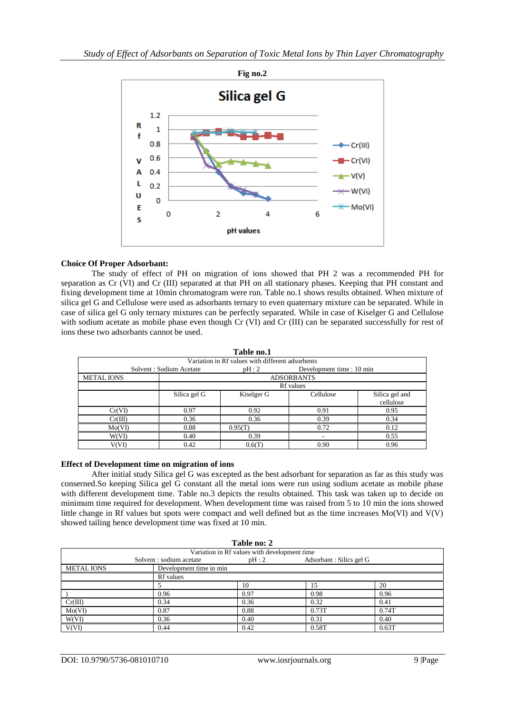

# **Choice Of Proper Adsorbant:**

The study of effect of PH on migration of ions showed that PH 2 was a recommended PH for separation as Cr (VI) and Cr (III) separated at that PH on all stationary phases. Keeping that PH constant and fixing development time at 10min chromatogram were run. Table no.1 shows results obtained. When mixture of silica gel G and Cellulose were used as adsorbants ternary to even quaternary mixture can be separated. While in case of silica gel G only ternary mixtures can be perfectly separated. While in case of Kiselger G and Cellulose with sodium acetate as mobile phase even though Cr (VI) and Cr (III) can be separated successfully for rest of ions these two adsorbants cannot be used.

| Solvent: Sodium Acetate |            | Development time : 10 min |                                                  |  |  |  |  |
|-------------------------|------------|---------------------------|--------------------------------------------------|--|--|--|--|
| <b>ADSORBANTS</b>       |            |                           |                                                  |  |  |  |  |
| <b>Rf</b> values        |            |                           |                                                  |  |  |  |  |
| Silica gel G            | Kiselger G | Cellulose                 | Silica gel and                                   |  |  |  |  |
|                         |            |                           | cellulose                                        |  |  |  |  |
| 0.97                    | 0.92       | 0.91                      | 0.95                                             |  |  |  |  |
| 0.36                    | 0.36       | 0.39                      | 0.34                                             |  |  |  |  |
| 0.88                    | 0.95(T)    | 0.72                      | 0.12                                             |  |  |  |  |
| 0.40                    | 0.39       | -                         | 0.55                                             |  |  |  |  |
| 0.42                    | 0.6(T)     | 0.90                      | 0.96                                             |  |  |  |  |
|                         |            | таріе пол<br>pH:2         | Variation in Rf values with different adsorbents |  |  |  |  |

**Table no.1**

#### **Effect of Development time on migration of ions**

After initial study Silica gel G was excepted as the best adsorbant for separation as far as this study was conserned.So keeping Silica gel G constant all the metal ions were run using sodium acetate as mobile phase with different development time. Table no.3 depicts the results obtained. This task was taken up to decide on minimum time required for development. When development time was raised from 5 to 10 min the ions showed little change in Rf values but spots were compact and well defined but as the time increases Mo(VI) and V(V) showed tailing hence development time was fixed at 10 min.

|                   |                          | Table no: 2                                  |                         |       |  |  |  |
|-------------------|--------------------------|----------------------------------------------|-------------------------|-------|--|--|--|
|                   |                          | Variation in Rf values with development time |                         |       |  |  |  |
|                   | Solvent : sodium acetate | pH:2                                         | Adsorbant: Silics gel G |       |  |  |  |
| <b>METAL IONS</b> |                          | Development time in min                      |                         |       |  |  |  |
|                   | <b>Rf</b> values         |                                              |                         |       |  |  |  |
|                   |                          | 10                                           | 15                      | 20    |  |  |  |
|                   | 0.96                     | 0.97                                         | 0.98                    | 0.96  |  |  |  |
| Cr(III)           | 0.34                     | 0.36                                         | 0.32                    | 0.41  |  |  |  |
| Mo(VI)            | 0.87                     | 0.88                                         | 0.73T                   | 0.74T |  |  |  |
| W(VI)             | 0.36                     | 0.40                                         | 0.31                    | 0.40  |  |  |  |
| V(VI)             | 0.44                     | 0.42                                         | 0.58T                   | 0.63T |  |  |  |